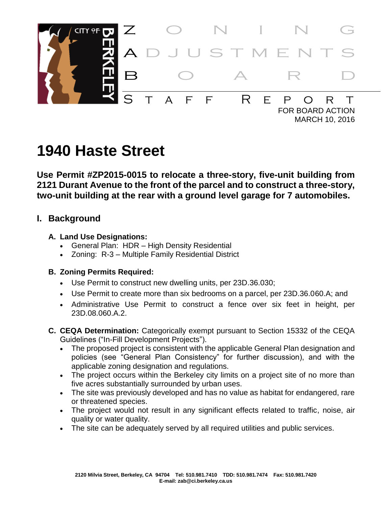

# **1940 Haste Street**

**Use Permit #ZP2015-0015 to relocate a three-story, five-unit building from 2121 Durant Avenue to the front of the parcel and to construct a three-story, two-unit building at the rear with a ground level garage for 7 automobiles.**

# **I. Background**

#### **A. Land Use Designations:**

- General Plan: HDR High Density Residential
- Zoning: R-3 Multiple Family Residential District

#### **B. Zoning Permits Required:**

- Use Permit to construct new dwelling units, per 23D.36.030;
- Use Permit to create more than six bedrooms on a parcel, per 23D.36.060.A; and
- Administrative Use Permit to construct a fence over six feet in height, per 23D.08.060.A.2.
- **C. CEQA Determination:** Categorically exempt pursuant to Section 15332 of the CEQA Guidelines ("In-Fill Development Projects").
	- The proposed project is consistent with the applicable General Plan designation and policies (see "General Plan Consistency" for further discussion), and with the applicable zoning designation and regulations.
	- The project occurs within the Berkeley city limits on a project site of no more than five acres substantially surrounded by urban uses.
	- The site was previously developed and has no value as habitat for endangered, rare or threatened species.
	- The project would not result in any significant effects related to traffic, noise, air quality or water quality.
	- The site can be adequately served by all required utilities and public services.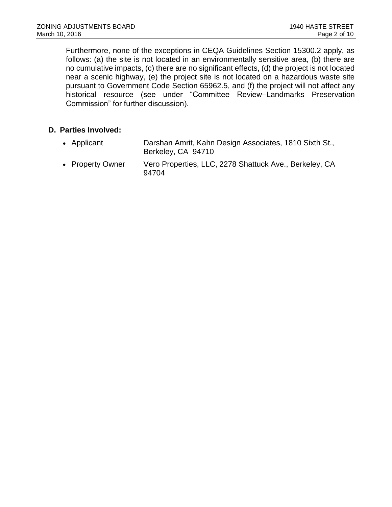Furthermore, none of the exceptions in CEQA Guidelines Section 15300.2 apply, as follows: (a) the site is not located in an environmentally sensitive area, (b) there are no cumulative impacts, (c) there are no significant effects, (d) the project is not located near a scenic highway, (e) the project site is not located on a hazardous waste site pursuant to Government Code Section 65962.5, and (f) the project will not affect any historical resource (see under "Committee Review–Landmarks Preservation Commission" for further discussion).

#### **D. Parties Involved:**

- Applicant Darshan Amrit, Kahn Design Associates, 1810 Sixth St., Berkeley, CA 94710
- Property Owner Vero Properties, LLC, 2278 Shattuck Ave., Berkeley, CA 94704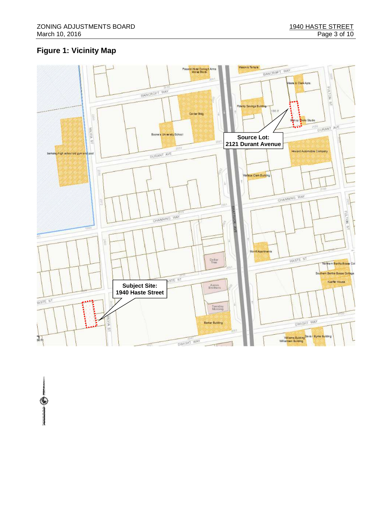# **Figure 1: Vicinity Map**

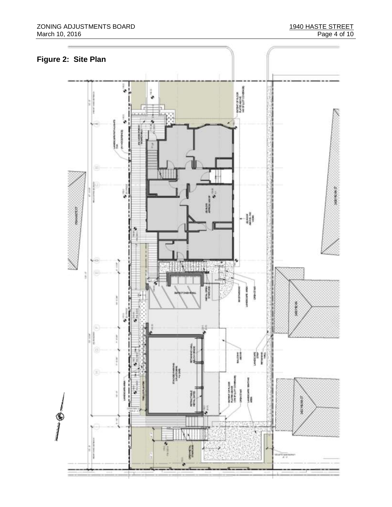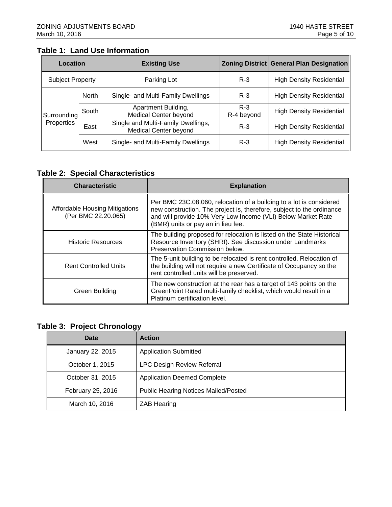## **Table 1: Land Use Information**

| Location                  |              | <b>Existing Use</b>                                                |                     | <b>Zoning District General Plan Designation</b> |  |
|---------------------------|--------------|--------------------------------------------------------------------|---------------------|-------------------------------------------------|--|
| <b>Subject Property</b>   |              | Parking Lot                                                        | $R-3$               | <b>High Density Residential</b>                 |  |
| Surrounding<br>Properties | <b>North</b> | Single- and Multi-Family Dwellings                                 | $R-3$               | <b>High Density Residential</b>                 |  |
|                           | South        | Apartment Building,<br><b>Medical Center beyond</b>                | $R-3$<br>R-4 beyond | <b>High Density Residential</b>                 |  |
|                           | East         | Single and Multi-Family Dwellings,<br><b>Medical Center beyond</b> | $R-3$               | <b>High Density Residential</b>                 |  |
|                           | West         | Single- and Multi-Family Dwellings                                 | $R-3$               | <b>High Density Residential</b>                 |  |

#### **Table 2: Special Characteristics**

| <b>Characteristic</b>                                        | <b>Explanation</b>                                                                                                                                                                                                                                 |  |  |
|--------------------------------------------------------------|----------------------------------------------------------------------------------------------------------------------------------------------------------------------------------------------------------------------------------------------------|--|--|
| <b>Affordable Housing Mitigations</b><br>(Per BMC 22.20.065) | Per BMC 23C.08.060, relocation of a building to a lot is considered<br>new construction. The project is, therefore, subject to the ordinance<br>and will provide 10% Very Low Income (VLI) Below Market Rate<br>(BMR) units or pay an in lieu fee. |  |  |
| <b>Historic Resources</b>                                    | The building proposed for relocation is listed on the State Historical<br>Resource Inventory (SHRI). See discussion under Landmarks<br>Preservation Commission below.                                                                              |  |  |
| <b>Rent Controlled Units</b>                                 | The 5-unit building to be relocated is rent controlled. Relocation of<br>the building will not require a new Certificate of Occupancy so the<br>rent controlled units will be preserved.                                                           |  |  |
| Green Building                                               | The new construction at the rear has a target of 143 points on the<br>GreenPoint Rated multi-family checklist, which would result in a<br>Platinum certification level.                                                                            |  |  |

## **Table 3: Project Chronology**

| Date              | <b>Action</b>                               |
|-------------------|---------------------------------------------|
| January 22, 2015  | <b>Application Submitted</b>                |
| October 1, 2015   | <b>LPC Design Review Referral</b>           |
| October 31, 2015  | <b>Application Deemed Complete</b>          |
| February 25, 2016 | <b>Public Hearing Notices Mailed/Posted</b> |
| March 10, 2016    | <b>ZAB Hearing</b>                          |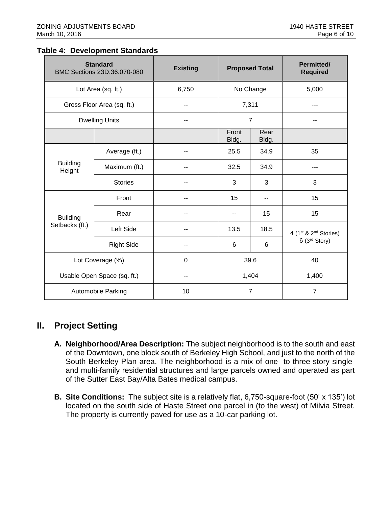#### **Table 4: Development Standards**

|                                   | <b>Standard</b><br>BMC Sections 23D.36.070-080 | <b>Existing</b> | <b>Proposed Total</b> |               | <b>Permitted/</b><br><b>Required</b>               |
|-----------------------------------|------------------------------------------------|-----------------|-----------------------|---------------|----------------------------------------------------|
| Lot Area (sq. ft.)                |                                                | 6,750           | No Change             |               | 5,000                                              |
| Gross Floor Area (sq. ft.)        |                                                | --              | 7,311                 |               |                                                    |
| <b>Dwelling Units</b>             |                                                |                 | $\overline{7}$        |               |                                                    |
|                                   |                                                |                 | Front<br>Bldg.        | Rear<br>Bldg. |                                                    |
|                                   | Average (ft.)                                  |                 | 25.5                  | 34.9          | 35                                                 |
| <b>Building</b><br>Height         | Maximum (ft.)                                  |                 | 32.5                  | 34.9          |                                                    |
|                                   | <b>Stories</b>                                 | --              | 3                     | 3             | 3                                                  |
| <b>Building</b><br>Setbacks (ft.) | Front                                          |                 | 15                    | --            | 15                                                 |
|                                   | Rear                                           | --              | --                    | 15            | 15                                                 |
|                                   | Left Side                                      |                 | 13.5                  | 18.5          | 4 (1st & 2 <sup>nd</sup> Stories)<br>6 (3rd Story) |
|                                   | <b>Right Side</b>                              |                 | 6                     | 6             |                                                    |
| Lot Coverage (%)                  |                                                | $\mathbf 0$     | 39.6                  |               | 40                                                 |
| Usable Open Space (sq. ft.)       |                                                | --              | 1,404                 |               | 1,400                                              |
| <b>Automobile Parking</b>         |                                                | 10              | $\overline{7}$        |               | $\overline{7}$                                     |

# **II. Project Setting**

- **A. Neighborhood/Area Description:** The subject neighborhood is to the south and east of the Downtown, one block south of Berkeley High School, and just to the north of the South Berkeley Plan area. The neighborhood is a mix of one- to three-story singleand multi-family residential structures and large parcels owned and operated as part of the Sutter East Bay/Alta Bates medical campus.
- **B. Site Conditions:** The subject site is a relatively flat, 6,750-square-foot (50' x 135') lot located on the south side of Haste Street one parcel in (to the west) of Milvia Street. The property is currently paved for use as a 10-car parking lot.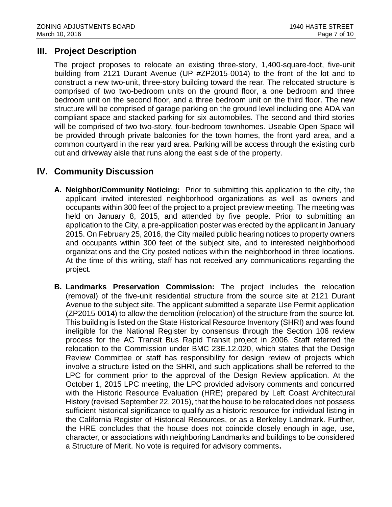# **III. Project Description**

The project proposes to relocate an existing three-story, 1,400-square-foot, five-unit building from 2121 Durant Avenue (UP #ZP2015-0014) to the front of the lot and to construct a new two-unit, three-story building toward the rear. The relocated structure is comprised of two two-bedroom units on the ground floor, a one bedroom and three bedroom unit on the second floor, and a three bedroom unit on the third floor. The new structure will be comprised of garage parking on the ground level including one ADA van compliant space and stacked parking for six automobiles. The second and third stories will be comprised of two two-story, four-bedroom townhomes. Useable Open Space will be provided through private balconies for the town homes, the front yard area, and a common courtyard in the rear yard area. Parking will be access through the existing curb cut and driveway aisle that runs along the east side of the property.

# **IV. Community Discussion**

- **A. Neighbor/Community Noticing:** Prior to submitting this application to the city, the applicant invited interested neighborhood organizations as well as owners and occupants within 300 feet of the project to a project preview meeting. The meeting was held on January 8, 2015, and attended by five people. Prior to submitting an application to the City, a pre-application poster was erected by the applicant in January 2015. On February 25, 2016, the City mailed public hearing notices to property owners and occupants within 300 feet of the subject site, and to interested neighborhood organizations and the City posted notices within the neighborhood in three locations. At the time of this writing, staff has not received any communications regarding the project.
- **B. Landmarks Preservation Commission:** The project includes the relocation (removal) of the five-unit residential structure from the source site at 2121 Durant Avenue to the subject site. The applicant submitted a separate Use Permit application (ZP2015-0014) to allow the demolition (relocation) of the structure from the source lot. This building is listed on the State Historical Resource Inventory (SHRI) and was found ineligible for the National Register by consensus through the Section 106 review process for the AC Transit Bus Rapid Transit project in 2006. Staff referred the relocation to the Commission under BMC 23E.12.020, which states that the Design Review Committee or staff has responsibility for design review of projects which involve a structure listed on the SHRI, and such applications shall be referred to the LPC for comment prior to the approval of the Design Review application. At the October 1, 2015 LPC meeting, the LPC provided advisory comments and concurred with the Historic Resource Evaluation (HRE) prepared by Left Coast Architectural History (revised September 22, 2015), that the house to be relocated does not possess sufficient historical significance to qualify as a historic resource for individual listing in the California Register of Historical Resources, or as a Berkeley Landmark. Further, the HRE concludes that the house does not coincide closely enough in age, use, character, or associations with neighboring Landmarks and buildings to be considered a Structure of Merit. No vote is required for advisory comments**.**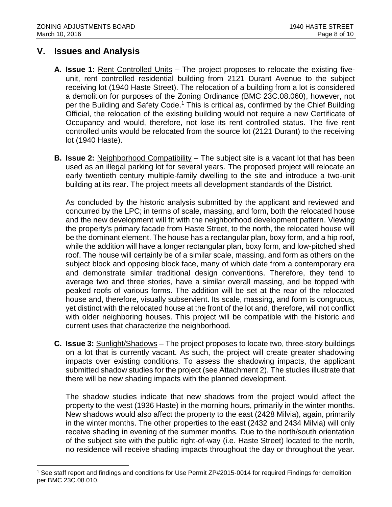# **V. Issues and Analysis**

l

- **A. Issue 1:** Rent Controlled Units The project proposes to relocate the existing fiveunit, rent controlled residential building from 2121 Durant Avenue to the subject receiving lot (1940 Haste Street). The relocation of a building from a lot is considered a demolition for purposes of the Zoning Ordinance (BMC 23C.08.060), however, not per the Building and Safety Code.<sup>1</sup> This is critical as, confirmed by the Chief Building Official, the relocation of the existing building would not require a new Certificate of Occupancy and would, therefore, not lose its rent controlled status. The five rent controlled units would be relocated from the source lot (2121 Durant) to the receiving lot (1940 Haste).
- **B. Issue 2:** Neighborhood Compatibility The subject site is a vacant lot that has been used as an illegal parking lot for several years. The proposed project will relocate an early twentieth century multiple-family dwelling to the site and introduce a two-unit building at its rear. The project meets all development standards of the District.

As concluded by the historic analysis submitted by the applicant and reviewed and concurred by the LPC; in terms of scale, massing, and form, both the relocated house and the new development will fit with the neighborhood development pattern. Viewing the property's primary facade from Haste Street, to the north, the relocated house will be the dominant element. The house has a rectangular plan, boxy form, and a hip roof, while the addition will have a longer rectangular plan, boxy form, and low-pitched shed roof. The house will certainly be of a similar scale, massing, and form as others on the subject block and opposing block face, many of which date from a contemporary era and demonstrate similar traditional design conventions. Therefore, they tend to average two and three stories, have a similar overall massing, and be topped with peaked roofs of various forms. The addition will be set at the rear of the relocated house and, therefore, visually subservient. Its scale, massing, and form is congruous, yet distinct with the relocated house at the front of the lot and, therefore, will not conflict with older neighboring houses. This project will be compatible with the historic and current uses that characterize the neighborhood.

**C. Issue 3:** Sunlight/Shadows – The project proposes to locate two, three-story buildings on a lot that is currently vacant. As such, the project will create greater shadowing impacts over existing conditions. To assess the shadowing impacts, the applicant submitted shadow studies for the project (see Attachment 2). The studies illustrate that there will be new shading impacts with the planned development.

The shadow studies indicate that new shadows from the project would affect the property to the west (1936 Haste) in the morning hours, primarily in the winter months. New shadows would also affect the property to the east (2428 Milvia), again, primarily in the winter months. The other properties to the east (2432 and 2434 Milvia) will only receive shading in evening of the summer months. Due to the north/south orientation of the subject site with the public right-of-way (i.e. Haste Street) located to the north, no residence will receive shading impacts throughout the day or throughout the year.

<sup>1</sup> See staff report and findings and conditions for Use Permit ZP#2015-0014 for required Findings for demolition per BMC 23C.08.010.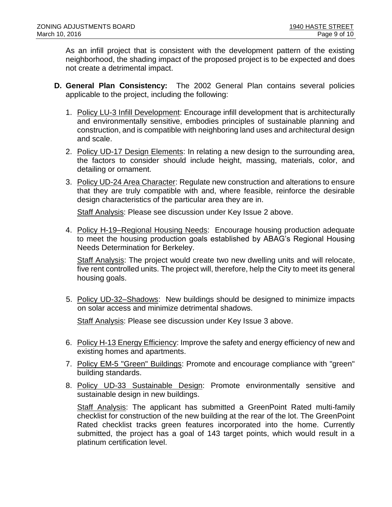As an infill project that is consistent with the development pattern of the existing neighborhood, the shading impact of the proposed project is to be expected and does not create a detrimental impact.

- **D. General Plan Consistency:** The 2002 General Plan contains several policies applicable to the project, including the following:
	- 1. Policy LU-3 Infill Development: Encourage infill development that is architecturally and environmentally sensitive, embodies principles of sustainable planning and construction, and is compatible with neighboring land uses and architectural design and scale.
	- 2. Policy UD-17 Design Elements: In relating a new design to the surrounding area, the factors to consider should include height, massing, materials, color, and detailing or ornament.
	- 3. Policy UD-24 Area Character: Regulate new construction and alterations to ensure that they are truly compatible with and, where feasible, reinforce the desirable design characteristics of the particular area they are in.

Staff Analysis: Please see discussion under Key Issue 2 above.

4. Policy H-19–Regional Housing Needs: Encourage housing production adequate to meet the housing production goals established by ABAG's Regional Housing Needs Determination for Berkeley.

Staff Analysis: The project would create two new dwelling units and will relocate, five rent controlled units. The project will, therefore, help the City to meet its general housing goals.

5. Policy UD-32–Shadows: New buildings should be designed to minimize impacts on solar access and minimize detrimental shadows.

Staff Analysis: Please see discussion under Key Issue 3 above.

- 6. Policy H-13 Energy Efficiency: Improve the safety and energy efficiency of new and existing homes and apartments.
- 7. Policy EM-5 "Green" Buildings: Promote and encourage compliance with "green" building standards.
- 8. Policy UD-33 Sustainable Design: Promote environmentally sensitive and sustainable design in new buildings.

Staff Analysis: The applicant has submitted a GreenPoint Rated multi-family checklist for construction of the new building at the rear of the lot. The GreenPoint Rated checklist tracks green features incorporated into the home. Currently submitted, the project has a goal of 143 target points, which would result in a platinum certification level.